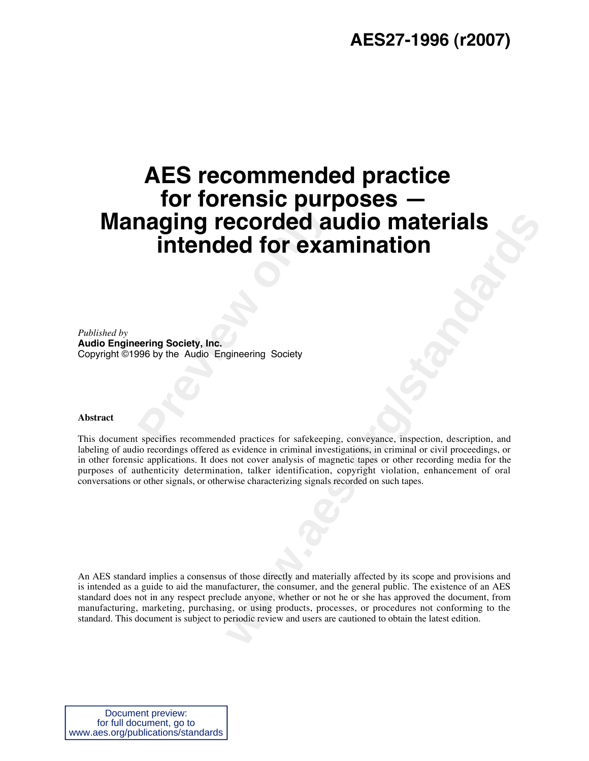# **Property Previously purplement of the property of the Audio Engineering Society<br>
Preving Society, Inc.<br>
Preving Society, Inc.<br>
Previse by the Audio Engineering Society<br>
Preverifies recommended practices for safekeeping AES recommended practice for forensic purposes — Managing recorded audio materials intended for examination**

*Published by* **Audio Engineering Society, Inc.** Copyright ©1996 by the Audio Engineering Society

#### **Abstract**

This document specifies recommended practices for safekeeping, conveyance, inspection, description, and labeling of audio recordings offered as evidence in criminal investigations, in criminal or civil proceedings, or in other forensic applications. It does not cover analysis of magnetic tapes or other recording media for the purposes of authenticity determination, talker identification, copyright violation, enhancement of oral conversations or other signals, or otherwise characterizing signals recorded on such tapes.

**ed for examination**<br> **ed for examination**<br> **gineering** Society<br> **where the constraints in the standard method, and examined are are stated properties for safeteching, conveyance, inspection, description, and<br>
are solven i** An AES standard implies a consensus of those directly and materially affected by its scope and provisions and is intended as a guide to aid the manufacturer, the consumer, and the general public. The existence of an AES standard does not in any respect preclude anyone, whether or not he or she has approved the document, from manufacturing, marketing, purchasing, or using products, processes, or procedures not conforming to the standard. This document is subject to periodic review and users are cautioned to obtain the latest edition.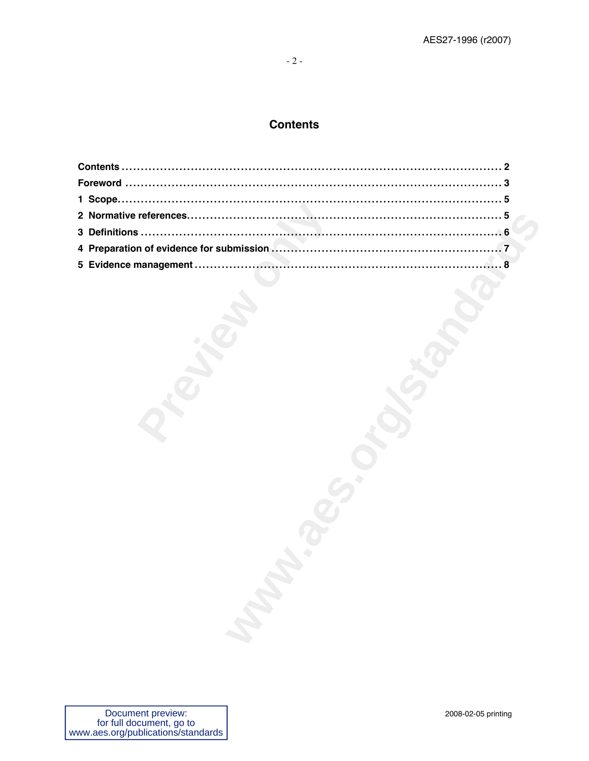#### $-2-$

## **Contents**

| <b>MARK</b> |
|-------------|
|             |
|             |
|             |
|             |
|             |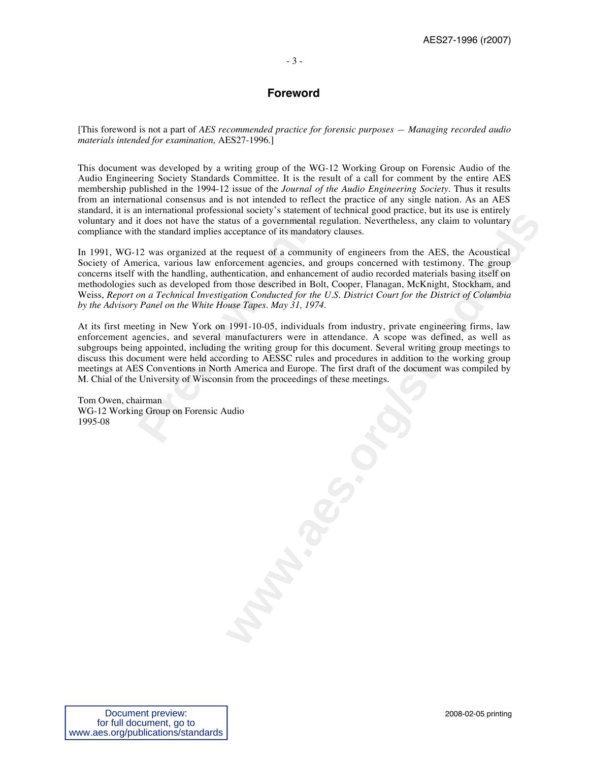#### - 3 -

### **Foreword**

[This foreword is not a part of *AES recommended practice for forensic purposes — Managing recorded audio materials intended for examination,* AES27-1996.]

This document was developed by a writing group of the WG-12 Working Group on Forensic Audio of the Audio Engineering Society Standards Committee. It is the result of a call for comment by the entire AES membership published in the 1994-12 issue of the *Journal of the Audio Engineering Society*. Thus it results from an international consensus and is not intended to reflect the practice of any single nation. As an AES standard, it is an international professional society's statement of technical good practice, but its use is entirely voluntary and it does not have the status of a governmental regulation. Nevertheless, any claim to voluntary compliance with the standard implies acceptance of its mandatory clauses.

In 1991, WG-12 was organized at the request of a community of engineers from the AES, the Acoustical Society of America, various law enforcement agencies, and groups concerned with testimony. The group concerns itself with the handling, authentication, and enhancement of audio recorded materials basing itself on methodologies such as developed from those described in Bolt, Cooper, Flanagan, McKnight, Stockham, and Weiss, *Report on a Technical Investigation Conducted for the U.S. District Court for the District of Columbia by the Advisory Panel on the White House Tapes. May 31, 1974*.

attanan consisted and not international professional society's statement of international professional society's statement of it does not have the status of a governmental regular the standard implies acceptance of its man At its first meeting in New York on 1991-10-05, individuals from industry, private engineering firms, law enforcement agencies, and several manufacturers were in attendance. A scope was defined, as well as subgroups being appointed, including the writing group for this document. Several writing group meetings to discuss this document were held according to AESSC rules and procedures in addition to the working group meetings at AES Conventions in North America and Europe. The first draft of the document was compiled by M. Chial of the University of Wisconsin from the proceedings of these meetings.

Tom Owen, chairman WG-12 Working Group on Forensic Audio 1995-08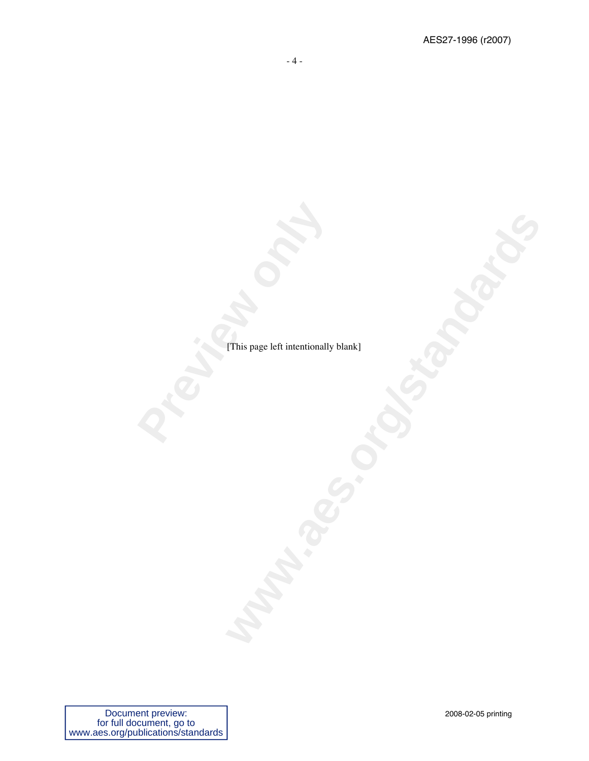**Preview Section 2019 Warrange Left intentionally blank!** [This page left intentionally blank]

- 4 -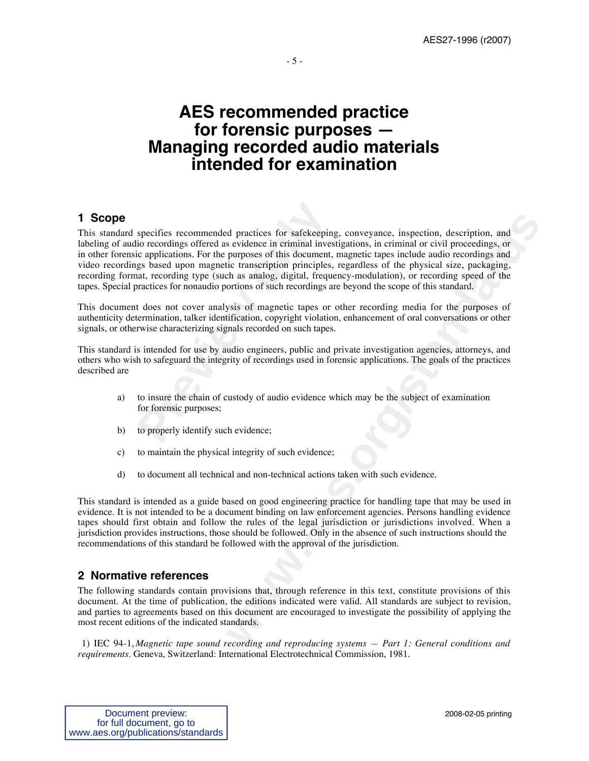# **AES recommended practice for forensic purposes — Managing recorded audio materials intended for examination**

#### **1 Scope**

specifies recommended practices for safekeeping<br>io recordings offered as evidence in criminal inves<br>ic applications. For the purposes of this document,<br>gs based upon magnetic transcription principles,<br>aat, recording type ( d practices for safekceping, conveyance, inspection, description, and<br>s evidence in eriminal investigations, in criminal or civil proceedings, or<br>purposes of this document, magnetic tapse include auto recordings and<br>ite tr This standard specifies recommended practices for safekeeping, conveyance, inspection, description, and labeling of audio recordings offered as evidence in criminal investigations, in criminal or civil proceedings, or in other forensic applications. For the purposes of this document, magnetic tapes include audio recordings and video recordings based upon magnetic transcription principles, regardless of the physical size, packaging, recording format, recording type (such as analog, digital, frequency-modulation), or recording speed of the tapes. Special practices for nonaudio portions of such recordings are beyond the scope of this standard.

This document does not cover analysis of magnetic tapes or other recording media for the purposes of authenticity determination, talker identification, copyright violation, enhancement of oral conversations or other signals, or otherwise characterizing signals recorded on such tapes.

This standard is intended for use by audio engineers, public and private investigation agencies, attorneys, and others who wish to safeguard the integrity of recordings used in forensic applications. The goals of the practices described are

- a) to insure the chain of custody of audio evidence which may be the subject of examination for forensic purposes;
- b) to properly identify such evidence;
- c) to maintain the physical integrity of such evidence;
- d) to document all technical and non-technical actions taken with such evidence.

This standard is intended as a guide based on good engineering practice for handling tape that may be used in evidence. It is not intended to be a document binding on law enforcement agencies. Persons handling evidence tapes should first obtain and follow the rules of the legal jurisdiction or jurisdictions involved. When a jurisdiction provides instructions, those should be followed. Only in the absence of such instructions should the recommendations of this standard be followed with the approval of the jurisdiction.

#### **2 Normative references**

The following standards contain provisions that, through reference in this text, constitute provisions of this document. At the time of publication, the editions indicated were valid. All standards are subject to revision, and parties to agreements based on this document are encouraged to investigate the possibility of applying the most recent editions of the indicated standards.

 1) IEC 94-1, *Magnetic tape sound recording and reproducing systems — Part 1: General conditions and requirements*. Geneva, Switzerland: International Electrotechnical Commission, 1981.